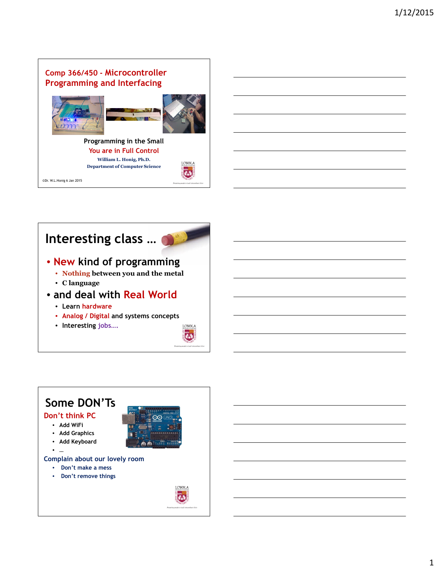## **Comp 366/450 - Microcontroller Programming and Interfacing**





**Programming in the Small You are in Full Control William L. Honig, Ph.D. Department of Computer Science**

©Dr. W.L.Honig 6 Jan 2015

# **Interesting class …**



LOYOLA  $#$ 

- **New kind of programming**
	- **Nothing between you and the metal**
	- **C language**
- **and deal with Real World**
	- **Learn hardware**
	- **Analog / Digital and systems concepts**
	- **Interesting jobs….**



## **Some DON'Ts Don't think PC** • **Add WiFi** • **Add Graphics** • **Add Keyboard** • **… Complain about our lovely room** • **Don't make a mess** • **Don't remove things**LOYOLA  $(4.1)$